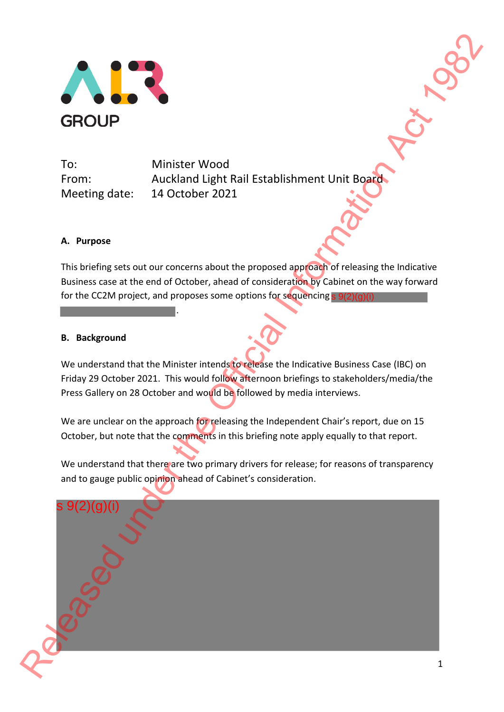

To: Minister Wood Meeting date: 14 October 2021

From: Auckland Light Rail Establishment Unit Board

## **A. Purpose**

This briefing sets out our concerns about the proposed approach of releasing the Indicative Business case at the end of October, ahead of consideration by Cabinet on the way forward for the CC2M project, and proposes some options for sequencing s 9(2)(g)(i)

.

## **B. Background**

We understand that the Minister intends to release the Indicative Business Case (IBC) on Friday 29 October 2021. This would follow afternoon briefings to stakeholders/media/the Press Gallery on 28 October and would be followed by media interviews.

We are unclear on the approach for releasing the Independent Chair's report, due on 15 October, but note that the comments in this briefing note apply equally to that report.

We understand that there are two primary drivers for release; for reasons of transparency and to gauge public opinion ahead of Cabinet's consideration.

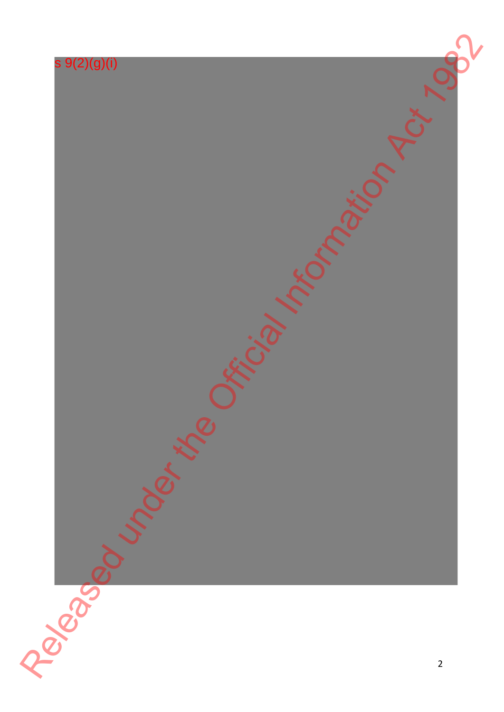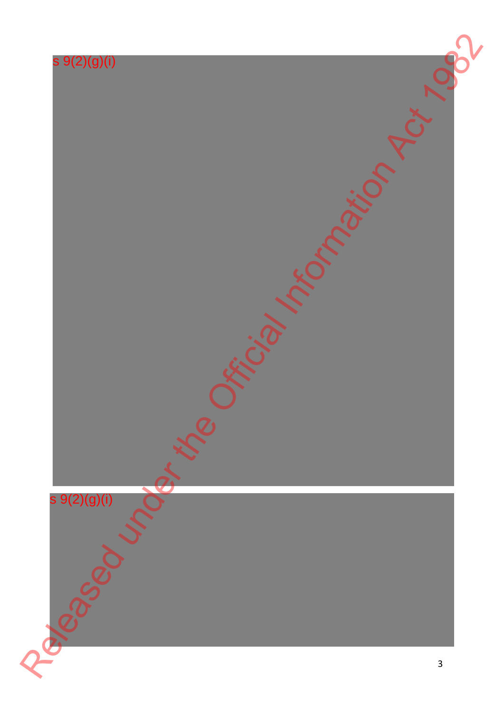